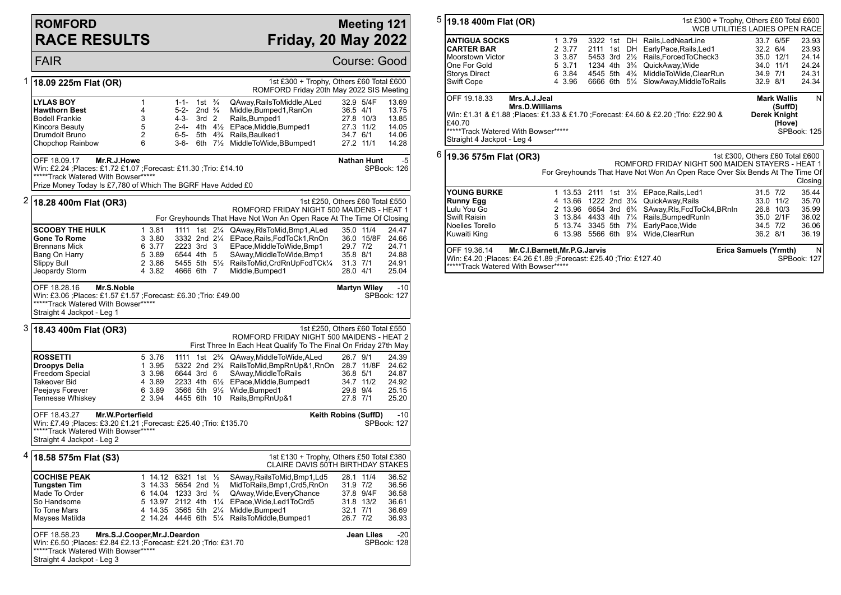#### **ROMFORD RACE RESULTS**

#### **Meeting 121 Friday, 20 May 2022**

FAIR Course: Good 1 **18.09 225m Flat (OR)** 1st £300 + Trophy, Others £60 Total £600 ROMFORD Friday 20th May 2022 SIS Meeting **LYLAS BOY** 1 1-1- 1st ¾ QAway,RailsToMiddle,ALed 32.9 5/4F 13.69<br> **Hawthorn Best** 13.75 4 5-2- 2nd ¾ Middle.Bumped1.RanOn 36.5 4/1 13.75 **Hawthorn Best** 4 5-2- 2nd <sup>3</sup>/<sub>4</sub> Middle, Bumped 1, RanOn 36.5 4/1<br>
Bodell Frankie 3 3 4-3- 3rd 2 Rails Bumped 1 27.8 10/3 Bodell Frankie 3 4-3- 3rd 2 Rails,Bumped1 27.8 10/3 13.85 5 2-4- 4th 41/<sub>2</sub> EPace, Middle, Bumped1 27.3 11/2 14.05 Drumdoit Bruno 2 6-5- 5th 4¾ Rails,Baulked1 34.7 6/1 14.06 3-6- 6th 7<sup>1</sup>/<sub>2</sub> MiddleToWide,BBumped1 27.2 11/1 14.28 OFF 18.09.17 **Mr.R.J.Howe** Win: £2.24 ;Places: £1.72 £1.07 ;Forecast: £11.30 ;Trio: £14.10 \*\*\*\*\*Track Watered With Bowser\*\*\*\*\* Prize Money Today Is £7,780 of Which The BGRF Have Added £0 **Nathan Hunt** -5 SPBook: 126 2 **18.28 400m Flat (OR3)** 1st £250, Others £60 Total £550 ROMFORD FRIDAY NIGHT 500 MAIDENS - HEAT 1 For Greyhounds That Have Not Won An Open Race At The Time Of Closing **SCOOBY THE HULK** 1 3.81 1111 1st 2¼ QAway,RlsToMid,Bmp1,ALed 35.0 11/4 24.47<br>
Gone To Rome 3 3.80 3332 2nd 2¼ EPace.Rails.FcdToCk1.RnOn 36.0 15/8F 24.66 **Gone To Rome** 3 3.80 3332 2nd 2¼ EPace,Rails,FcdToCk1,RnOn 36.0 15/8F 24.66 Brennans Mick 6 3.77 2223 3rd 3 EPace,MiddleToWide,Bmp1<br>Bang On Harry 6 3.89 6544 4th 5 SAway,MiddleToWide,Bmp1 Bang On Harry 5 3.89 6544 4th 5 SAway,MiddleToWide,Bmp1 35.8 8/1 24.88 Slippy Bull 2 3.86 5455 5th 5½ RailsToMid,CrdRnUpFcdTCk¼ 31.3 7/1 24.91 Middle,Bumped1 28.0 4/1 25.04 OFF 18.28.16 **Mr.S.Noble** Win: £3.06 ;Places: £1.57 £1.57 ;Forecast: £6.30 ;Trio: £49.00 \*\*\*\*\*Track Watered With Bowser\*\*\*\*\* Straight 4 Jackpot - Leg 1 **Martyn Wiley -10** SPBook: 127 3 **18.43 400m Flat (OR3)** 1st £250, Others £60 Total £550 ROMFORD FRIDAY NIGHT 500 MAIDENS - HEAT 2 First Three In Each Heat Qualify To The Final On Friday 27th May **ROSSETTI** 5 3.76 1111 1st 2<sup>3</sup>/<sub>4</sub> QAway,MiddleToWide,ALed 26.7 9/1 24.39<br> **Droopys Delia** 1 3.95 5322 2nd 2<sup>3</sup>/<sub>4</sub> RailsToMid,BmpRnUp&1,RnOn 28.7 11/8F 24.62 **Droopys Delia** 1 3.95 5322 2nd 2<sup>3</sup>/<sub>4</sub> RailsToMid,BmpRnUp&1,RnOn 28.7 11/8F 24.62<br>Freedom Special 3 3.98 6644 3rd 6 SAway,MiddleToRails 36.8 5/1 24.87 Freedom Special 3 3.98 6644 3rd 6 SAway,MiddleToRails 36.8 5/1 24.87 Takeover Bid 4 3.89 2233 4th 6½ EPace,Middle,Bumped1 34.7 11/2 24.92 Peejays Forever 6 3.89 3566 5th 9½ Wide,Bumped1 29.8 9/4 25.15 Tennesse Whiskey 2 3.94 4455 6th 10 Rails,BmpRnUp&1 27.8 7/1 25.20 OFF 18.43.27 **Mr.W.Porterfield** Win: £7.49 ;Places: £3.20 £1.21 ;Forecast: £25.40 ;Trio: £135.70 \*\*\*\*\*Track Watered With Bowser\*\*\*\*\* Straight 4 Jackpot - Leg 2 **Keith Robins (SuffD)** -10 SPBook: 127 4 **18.58 575m Flat (S3)** 1st £130 + Trophy, Others £50 Total £380 CLAIRE DAVIS 50TH BIRTHDAY STAKES **COCHISE PEAK** 1 14.12 6321 1st 1/<sub>2</sub> SAway,RailsToMid,Bmp1,Ld5 28.1 11/4 36.52<br> **Tungsten Tim** 3 14.33 5654 2nd 1/<sub>2</sub> MidToRails,Bmp1,Crd5,RnOn 31.9 7/2 36.56 **Tungsten Tim** 3 14.33 5654 2nd ½ MidToRails,Bmp1,Crd5,RnOn 31.9 7/2 36.56<br>Made To Order 6 14.04 1233 3rd ¾ QAway.Wide.EveryChance 37.8 9/4F 36.58 Made To Order 6 14.04 1233 3rd ¾ QAway, Wide, EveryChance 37.8 9/4F 36.58<br>So Handsome 5 13.97 2112 4th 1¼ EPace, Wide, Led1To Crd5 31.8 13/2 36.61 So Handsome 5 13.97 2112 4th 1¼ EPace,Wide,Led1ToCrd5 31.8 13/2 36.61 To Tone Mars 4 14.35 3565 5th 21/4 Middle,Bumped1 32.1 7/1 32.1 7/1 36.7 7/2 2 14.24 4446 6th 51/4 RailsToMiddle,Bumped1 26.7 7/2 36.93 OFF 18.58.23 **Mrs.S.J.Cooper,Mr.J.Deardon** Win: £6.50 ;Places: £2.84 £2.13 ;Forecast: £21.20 ;Trio: £31.70 \*\*\*\*\*Track Watered With Bowser\*\*\*\*\* Straight 4 Jackpot - Leg 3 **Jean Liles** -20 SPBook: 128

|                                                                                                                                                                                                  | $5\sqrt{19.18}$ 400m Flat (OR)                                                                                                                                                                                |         |                                        |  | 1st £300 + Trophy, Others £60 Total £600<br>WCB UTILITIES LADIES OPEN RACE |              |           |                  |  |
|--------------------------------------------------------------------------------------------------------------------------------------------------------------------------------------------------|---------------------------------------------------------------------------------------------------------------------------------------------------------------------------------------------------------------|---------|----------------------------------------|--|----------------------------------------------------------------------------|--------------|-----------|------------------|--|
|                                                                                                                                                                                                  | <b>ANTIGUA SOCKS</b>                                                                                                                                                                                          | 1 3.79  |                                        |  | 3322 1st DH Rails.LedNearLine                                              |              | 33.7 6/5F | 23.93            |  |
|                                                                                                                                                                                                  | <b>CARTER BAR</b>                                                                                                                                                                                             | 2 3.77  |                                        |  | 2111 1st DH EarlyPace, Rails, Led1                                         | 32.2 6/4     |           | 23.93            |  |
|                                                                                                                                                                                                  | <b>Moorstown Victor</b>                                                                                                                                                                                       | 3 3.87  | 5453 3rd 21/ <sub>2</sub>              |  | Rails.ForcedToCheck3                                                       |              | 35.0 12/1 | 24.14            |  |
|                                                                                                                                                                                                  | One For Gold                                                                                                                                                                                                  | 5 3.71  | 1234 4th 3 <sup>3</sup> / <sub>4</sub> |  | QuickAway, Wide                                                            | 34.0 11/1    |           | 24.24            |  |
|                                                                                                                                                                                                  | <b>Storys Direct</b>                                                                                                                                                                                          | 6 3.84  | 4545 5th 4 <sup>3</sup> / <sub>4</sub> |  | MiddleToWide,ClearRun                                                      | 34.9 7/1     |           | 24.31            |  |
|                                                                                                                                                                                                  | Swift Cope                                                                                                                                                                                                    | 4 3.96  |                                        |  | 6666 6th 51/4 SlowAway, Middle To Rails                                    | 32.9 8/1     |           | 24.34            |  |
| OFF 19.18.33<br>Mrs.A.J.Jeal<br><b>Mark Wallis</b><br><b>Mrs.D.Williams</b><br>(SuffD)                                                                                                           |                                                                                                                                                                                                               |         |                                        |  |                                                                            |              |           |                  |  |
|                                                                                                                                                                                                  | Win: £1.31 & £1.88 ; Places: £1.33 & £1.70 ; Forecast: £4.60 & £2.20 ; Trio: £22.90 &<br>Derek Knight<br>£40 70<br>(Hove)<br>*****Track Watered With Bowser*****<br>SPBook: 125<br>Straight 4 Jackpot - Leg 4 |         |                                        |  |                                                                            |              |           |                  |  |
| 6<br>1st £300, Others £60 Total £600<br>19.36 575m Flat (OR3)<br>ROMFORD FRIDAY NIGHT 500 MAIDEN STAYERS - HEAT 1<br>For Greyhounds That Have Not Won An Open Race Over Six Bends At The Time Of |                                                                                                                                                                                                               |         |                                        |  |                                                                            |              |           | Closing          |  |
|                                                                                                                                                                                                  | <b>YOUNG BURKE</b>                                                                                                                                                                                            |         |                                        |  | 1 13.53 2111 1st 31/4 EPace, Rails, Led 1                                  | $31.5$ $7/2$ |           | 35.44            |  |
|                                                                                                                                                                                                  | <b>Runny Egg</b>                                                                                                                                                                                              |         |                                        |  | 4 13.66 1222 2nd 31/4 QuickAway, Rails                                     |              | 33.0 11/2 | 35.70            |  |
|                                                                                                                                                                                                  | Lulu You Go                                                                                                                                                                                                   |         |                                        |  | 2 13.96 6654 3rd 6 <sup>3</sup> / <sub>4</sub> SAway, RIs, FcdToCk4, BRnIn |              | 26.8 10/3 | 35.99            |  |
|                                                                                                                                                                                                  | <b>Swift Raisin</b>                                                                                                                                                                                           |         |                                        |  | 3 13.84 4433 4th 71/4 Rails, Bumped Runln                                  |              | 35.0 2/1F | 36.02            |  |
|                                                                                                                                                                                                  | Noelles Torello                                                                                                                                                                                               | 5 13.74 |                                        |  | 3345 5th 7 <sup>3</sup> / <sub>4</sub> EarlyPace, Wide                     | 34.5 7/2     |           | 36.06            |  |
|                                                                                                                                                                                                  | Kuwaiti King                                                                                                                                                                                                  |         |                                        |  | 6 13.98 5566 6th 91/4 Wide, Clear Run                                      | 36.2 8/1     |           | 36.19            |  |
| OFF 19.36.14<br>Mr.C.I.Barnett, Mr.P.G.Jarvis<br>Erica Samuels (Yrmth)<br>Win: £4.20 ;Places: £4.26 £1.89 ;Forecast: £25.40 ;Trio: £127.40<br>*****Track Watered With Bowser*****                |                                                                                                                                                                                                               |         |                                        |  |                                                                            |              |           | N<br>SPBook: 127 |  |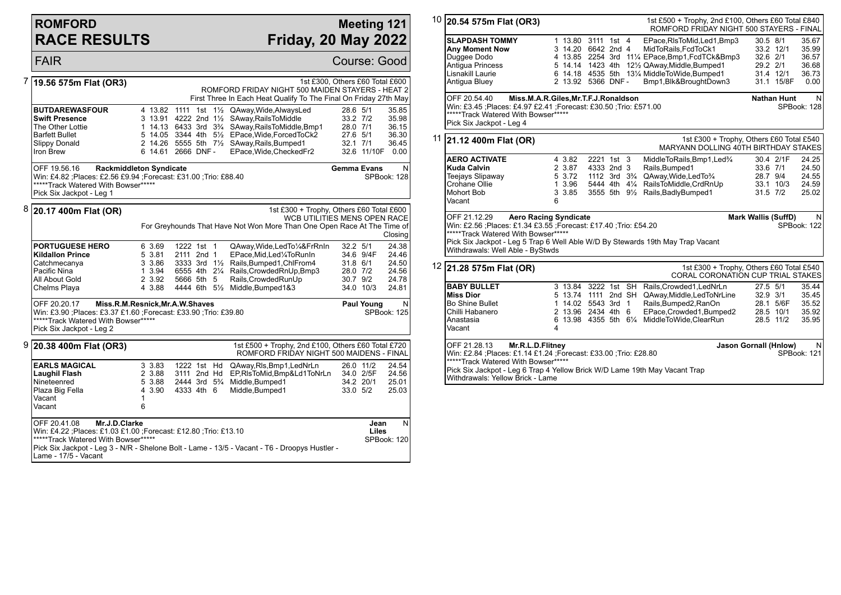## **ROMFORD RACE RESULTS**

#### **Meeting 121 Friday, 20 May 2022**

|   | <b>FAIR</b>                                                                                                                                                                                                                                                         |                                                                 |                                                                                    |                |                                                                                                                                                                                                                                                                  | Course: Good                                             |                        |                                                    |
|---|---------------------------------------------------------------------------------------------------------------------------------------------------------------------------------------------------------------------------------------------------------------------|-----------------------------------------------------------------|------------------------------------------------------------------------------------|----------------|------------------------------------------------------------------------------------------------------------------------------------------------------------------------------------------------------------------------------------------------------------------|----------------------------------------------------------|------------------------|----------------------------------------------------|
|   | 19.56 575m Flat (OR3)                                                                                                                                                                                                                                               |                                                                 |                                                                                    |                | 1st £300, Others £60 Total £600<br>ROMFORD FRIDAY NIGHT 500 MAIDEN STAYERS - HEAT 2<br>First Three In Each Heat Qualify To The Final On Friday 27th May                                                                                                          |                                                          |                        |                                                    |
|   | <b>BUTDAREWASFOUR</b><br><b>Swift Presence</b><br>The Other Lottie<br><b>Barfett Bullet</b><br><b>Slippy Donald</b><br>Iron Brew                                                                                                                                    | 4 13.82 1111 1st<br>3 13.91 4222 2nd 11/2<br>6 14.61 2666 DNF - |                                                                                    | $1\frac{1}{2}$ | QAway, Wide, Always Led<br>SAway, Rails To Middle<br>1 14.13 6433 3rd 3 <sup>3</sup> / <sub>4</sub> SAway, Rails To Middle, Bmp1<br>5 14.05 3344 4th 51/2 EPace, Wide, Forced To Ck2<br>2 14.26 5555 5th 71/2 SAway, Rails, Bumped 1<br>EPace, Wide, Checked Fr2 | 28.6 5/1<br>33.2 7/2<br>28.0 7/1<br>27.6 5/1<br>32.1 7/1 | 32.6 11/10F 0.00       | 35.85<br>35.98<br>36.15<br>36.30<br>36.45          |
|   | <b>Rackmiddleton Syndicate</b><br>OFF 19.56.16<br>Win: £4.82 ; Places: £2.56 £9.94 ; Forecast: £31.00 ; Trio: £88.40<br>*****Track Watered With Bowser*****<br>Pick Six Jackpot - Leg 1                                                                             |                                                                 |                                                                                    |                |                                                                                                                                                                                                                                                                  | <b>Gemma Evans</b>                                       |                        | N<br>SPBook: 128                                   |
| 8 | 20.17 400m Flat (OR)                                                                                                                                                                                                                                                |                                                                 |                                                                                    |                | 1st £300 + Trophy, Others £60 Total £600<br><b>WCB UTILITIES MENS OPEN RACE</b><br>For Greyhounds That Have Not Won More Than One Open Race At The Time of                                                                                                       |                                                          |                        | Closing                                            |
|   | <b>PORTUGUESE HERO</b><br><b>Kildallon Prince</b><br>Catchmecanya<br>Pacific Nina<br>All About Gold<br>Chelms Playa                                                                                                                                                 | 6 3.69<br>5 3.81<br>3 3.86<br>1 3.94<br>2 3.92<br>4 3.88        | 1222 1st 1<br>2111 2nd 1<br>5666 5th 5                                             |                | QAway, Wide, Led To 1/4& FrRnIn<br>EPace, Mid, Led <sup>1</sup> / <sub>4</sub> To Run In<br>3333 3rd 11/2 Rails, Bumped 1, ChlFrom 4<br>6555 4th 21/4 Rails, Crowded RnUp, Bmp3<br>Rails, Crowded RunUp<br>4444 6th 51/2 Middle, Bumped 183                      | 32.2 5/1<br>31.8 6/1<br>28.0 7/2<br>30.7 9/2             | 34.6 9/4F<br>34.0 10/3 | 24.38<br>24.46<br>24.50<br>24.56<br>24.78<br>24.81 |
|   | OFF 20.20.17<br>Miss.R.M.Resnick, Mr.A.W.Shaves<br>Win: £3.90 ; Places: £3.37 £1.60 ; Forecast: £33.90 ; Trio: £39.80<br>*****Track Watered With Bowser*****<br>Pick Six Jackpot - Leg 2                                                                            |                                                                 |                                                                                    |                |                                                                                                                                                                                                                                                                  |                                                          | Paul Young             | N<br>SPBook: 125                                   |
|   | $9$ 20.38 400m Flat (OR3)                                                                                                                                                                                                                                           |                                                                 |                                                                                    |                | 1st £500 + Trophy, 2nd £100, Others £60 Total £720<br>ROMFORD FRIDAY NIGHT 500 MAIDENS - FINAL                                                                                                                                                                   |                                                          |                        |                                                    |
|   | <b>EARLS MAGICAL</b><br>Laughil Flash<br>Nineteenred<br>Plaza Big Fella<br>Vacant<br>Vacant                                                                                                                                                                         | 3 3.83<br>2 3.88<br>5 3.88<br>4 3.90<br>1<br>6                  | 1222 1st Hd<br>3111 2nd Hd<br>2444 3rd 5 <sup>3</sup> / <sub>4</sub><br>4333 4th 6 |                | QAway, RIs, Bmp1, LedNrLn<br>EP,RIsToMid,Bmp&Ld1ToNrLn<br>Middle.Bumped1<br>Middle, Bumped1                                                                                                                                                                      | 34.2 20/1<br>33.0 5/2                                    | 26.0 11/2<br>34.0 2/5F | 24.54<br>24.56<br>25.01<br>25.03                   |
|   | OFF 20.41.08<br>Mr.J.D.Clarke<br>Win: £4.22 ; Places: £1.03 £1.00 ; Forecast: £12.80 ; Trio: £13.10<br>*****Track Watered With Bowser*****<br>Pick Six Jackpot - Leg 3 - N/R - Shelone Bolt - Lame - 13/5 - Vacant - T6 - Droopys Hustler -<br>Lame - 17/5 - Vacant |                                                                 |                                                                                    |                |                                                                                                                                                                                                                                                                  |                                                          | Jean<br>Liles          | N<br>SPBook: 120                                   |

| 10 | 20.54 575m Flat (OR3)                                                                                                                                                                                                                                                        |                                                                                      |                                                                                          |                          |  |  | 1st £500 + Trophy, 2nd £100, Others £60 Total £840<br>ROMFORD FRIDAY NIGHT 500 STAYERS - FINAL                                                                                                                                                  |                                                |                                          |                                                   |  |
|----|------------------------------------------------------------------------------------------------------------------------------------------------------------------------------------------------------------------------------------------------------------------------------|--------------------------------------------------------------------------------------|------------------------------------------------------------------------------------------|--------------------------|--|--|-------------------------------------------------------------------------------------------------------------------------------------------------------------------------------------------------------------------------------------------------|------------------------------------------------|------------------------------------------|---------------------------------------------------|--|
|    | <b>SLAPDASH TOMMY</b><br><b>Any Moment Now</b><br>Duggee Dodo<br>Antiqua Princess<br>Lisnakill Laurie<br>Antigua Bluey                                                                                                                                                       |                                                                                      | 1 13.80 3111 1st 4<br>3 14.20 6642 2nd 4<br>5 14.14 1423 4th<br>2 13.92 5366 DNF -       |                          |  |  | EPace, RIsToMid, Led1, Bmp3<br>MidToRails, FcdToCk1<br>4 13.85 2254 3rd 111/4 EPace, Bmp1, FcdTCk& Bmp3<br>121/2 QAway, Middle, Bumped 1<br>6 14.18 4535 5th 131/4 MiddleToWide, Bumped 1<br>Bmp1, Blk&BroughtDown3                             | 30.5 8/1<br>32.6 2/1<br>29.2 2/1               | 33.2 12/1<br>31.4 12/1<br>31.1 15/8F     | 35.67<br>35.99<br>36.57<br>36.68<br>36.73<br>0.00 |  |
|    | OFF 20.54.40<br>Miss.M.A.R.Giles, Mr.T.F.J.Ronaldson<br>Win: £3.45 ;Places: £4.97 £2.41 ;Forecast: £30.50 ;Trio: £571.00<br>*****Track Watered With Bowser*****<br>Pick Six Jackpot - Leg 4                                                                                  |                                                                                      |                                                                                          |                          |  |  |                                                                                                                                                                                                                                                 |                                                | <b>Nathan Hunt</b>                       | N<br>SPBook: 128                                  |  |
| 11 | $ 21.12\,400m$ Flat (OR)                                                                                                                                                                                                                                                     |                                                                                      |                                                                                          |                          |  |  | MARYANN DOLLING 40TH BIRTHDAY STAKES                                                                                                                                                                                                            |                                                | 1st £300 + Trophy, Others £60 Total £540 |                                                   |  |
|    | <b>AERO ACTIVATE</b><br><b>Kuda Calvin</b><br>Teejays Slipaway<br>Crohane Ollie<br><b>Mohort Bob</b><br>Vacant                                                                                                                                                               | 6                                                                                    | 4 3.82<br>2 3.87<br>5 3.72<br>1 3.96<br>3 3.85                                           | 2221 1st 3<br>4333 2nd 3 |  |  | MiddleToRails, Bmp1, Led <sup>3</sup> /4<br>Rails, Bumped1<br>1112 3rd 3 <sup>3</sup> / <sub>4</sub> QAway, Wide, Led To <sup>3</sup> / <sub>4</sub><br>5444 4th 41/4 RailsToMiddle, CrdRnUp<br>3555 5th 91/ <sub>2</sub> Rails, Badly Bumped 1 | 33.6 7/1<br>28.7 9/4<br>$31.5$ $7/2$           | 30.4 2/1F<br>33.1 10/3                   | 24.25<br>24.50<br>24.55<br>24.59<br>25.02         |  |
|    | OFF 21.12.29<br><b>Aero Racing Syndicate</b><br>Win: £2.56 ;Places: £1.34 £3.55 ;Forecast: £17.40 ;Trio: £54.20<br>*****Track Watered With Bowser*****<br>Pick Six Jackpot - Leg 5 Trap 6 Well Able W/D By Stewards 19th May Trap Vacant<br>Withdrawals: Well Able - ByStwds |                                                                                      |                                                                                          |                          |  |  |                                                                                                                                                                                                                                                 | <b>Mark Wallis (SuffD)</b><br>N<br>SPBook: 122 |                                          |                                                   |  |
|    | $12$ 21.28 575m Flat (OR)                                                                                                                                                                                                                                                    | 1st £300 + Trophy, Others £60 Total £540<br><b>CORAL CORONATION CUP TRIAL STAKES</b> |                                                                                          |                          |  |  |                                                                                                                                                                                                                                                 |                                                |                                          |                                                   |  |
|    | <b>BABY BULLET</b><br><b>Miss Dior</b><br>Bo Shine Bullet<br>Chilli Habanero<br>Anastasia<br>Vacant                                                                                                                                                                          | 4                                                                                    | 3 13.84 3222 1st SH<br>1 14.02 5543 3rd 1<br>2 13.96 2434 4th 6<br>6 13.98 4355 5th 61/4 |                          |  |  | Rails, Crowded1, LedNrLn<br>5 13.74 1111 2nd SH QAway, Middle, Led ToNrLine<br>Rails, Bumped 2, RanOn<br>EPace, Crowded1, Bumped2<br>MiddleToWide.ClearRun                                                                                      | 27.5 5/1<br>32.9 3/1                           | 28.1 5/6F<br>28.5 10/1<br>28.5 11/2      | 35.44<br>35.45<br>35.52<br>35.92<br>35.95         |  |
|    | OFF 21.28.13<br>Mr.R.L.D.Flitney<br><b>Jason Gornall (Hnlow)</b><br>Win: £2.84 ;Places: £1.14 £1.24 ;Forecast: £33.00 ;Trio: £28.80<br>SPBook: 121<br>*****Track Watered With Bowser*****                                                                                    |                                                                                      |                                                                                          |                          |  |  |                                                                                                                                                                                                                                                 |                                                |                                          | N                                                 |  |

Pick Six Jackpot - Leg 6 Trap 4 Yellow Brick W/D Lame 19th May Vacant Trap

Withdrawals: Yellow Brick - Lame